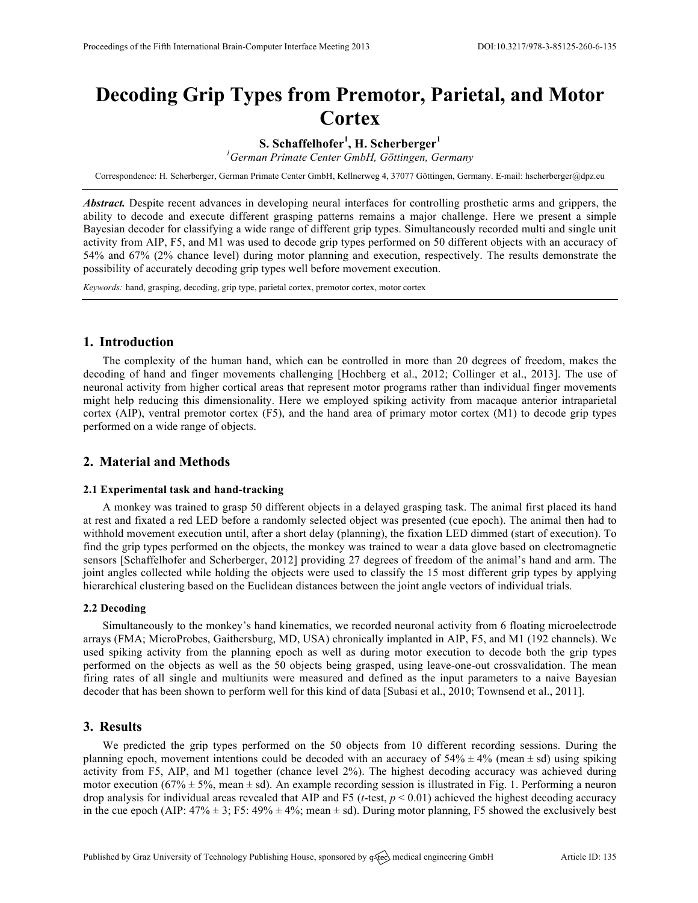# **Decoding Grip Types from Premotor, Parietal, and Motor Cortex**

**S. Schaffelhofer<sup>1</sup> , H. Scherberger<sup>1</sup>**

*1 German Primate Center GmbH, Göttingen, Germany*

Correspondence: H. Scherberger, German Primate Center GmbH, Kellnerweg 4, 37077 Göttingen, Germany. E-mail: hscherberger@dpz.eu

*Abstract.* Despite recent advances in developing neural interfaces for controlling prosthetic arms and grippers, the ability to decode and execute different grasping patterns remains a major challenge. Here we present a simple Bayesian decoder for classifying a wide range of different grip types. Simultaneously recorded multi and single unit activity from AIP, F5, and M1 was used to decode grip types performed on 50 different objects with an accuracy of 54% and 67% (2% chance level) during motor planning and execution, respectively. The results demonstrate the possibility of accurately decoding grip types well before movement execution.

*Keywords:* hand, grasping, decoding, grip type, parietal cortex, premotor cortex, motor cortex

## **1. Introduction**

The complexity of the human hand, which can be controlled in more than 20 degrees of freedom, makes the decoding of hand and finger movements challenging [Hochberg et al., 2012; Collinger et al., 2013]. The use of neuronal activity from higher cortical areas that represent motor programs rather than individual finger movements might help reducing this dimensionality. Here we employed spiking activity from macaque anterior intraparietal cortex (AIP), ventral premotor cortex (F5), and the hand area of primary motor cortex (M1) to decode grip types performed on a wide range of objects.

## **2. Material and Methods**

#### **2.1 Experimental task and hand-tracking**

A monkey was trained to grasp 50 different objects in a delayed grasping task. The animal first placed its hand at rest and fixated a red LED before a randomly selected object was presented (cue epoch). The animal then had to withhold movement execution until, after a short delay (planning), the fixation LED dimmed (start of execution). To find the grip types performed on the objects, the monkey was trained to wear a data glove based on electromagnetic sensors [Schaffelhofer and Scherberger, 2012] providing 27 degrees of freedom of the animal's hand and arm. The joint angles collected while holding the objects were used to classify the 15 most different grip types by applying hierarchical clustering based on the Euclidean distances between the joint angle vectors of individual trials.

### **2.2 Decoding**

Simultaneously to the monkey's hand kinematics, we recorded neuronal activity from 6 floating microelectrode arrays (FMA; MicroProbes, Gaithersburg, MD, USA) chronically implanted in AIP, F5, and M1 (192 channels). We used spiking activity from the planning epoch as well as during motor execution to decode both the grip types performed on the objects as well as the 50 objects being grasped, using leave-one-out crossvalidation. The mean firing rates of all single and multiunits were measured and defined as the input parameters to a naive Bayesian decoder that has been shown to perform well for this kind of data [Subasi et al., 2010; Townsend et al., 2011].

## **3. Results**

We predicted the grip types performed on the 50 objects from 10 different recording sessions. During the planning epoch, movement intentions could be decoded with an accuracy of  $54\% \pm 4\%$  (mean  $\pm$  sd) using spiking activity from F5, AIP, and M1 together (chance level 2%). The highest decoding accuracy was achieved during motor execution (67%  $\pm$  5%, mean  $\pm$  sd). An example recording session is illustrated in Fig. 1. Performing a neuron drop analysis for individual areas revealed that AIP and F5 (*t*-test, *p* < 0.01) achieved the highest decoding accuracy in the cue epoch (AIP:  $47\% \pm 3$ ; F5:  $49\% \pm 4\%$ ; mean  $\pm$  sd). During motor planning, F5 showed the exclusively best